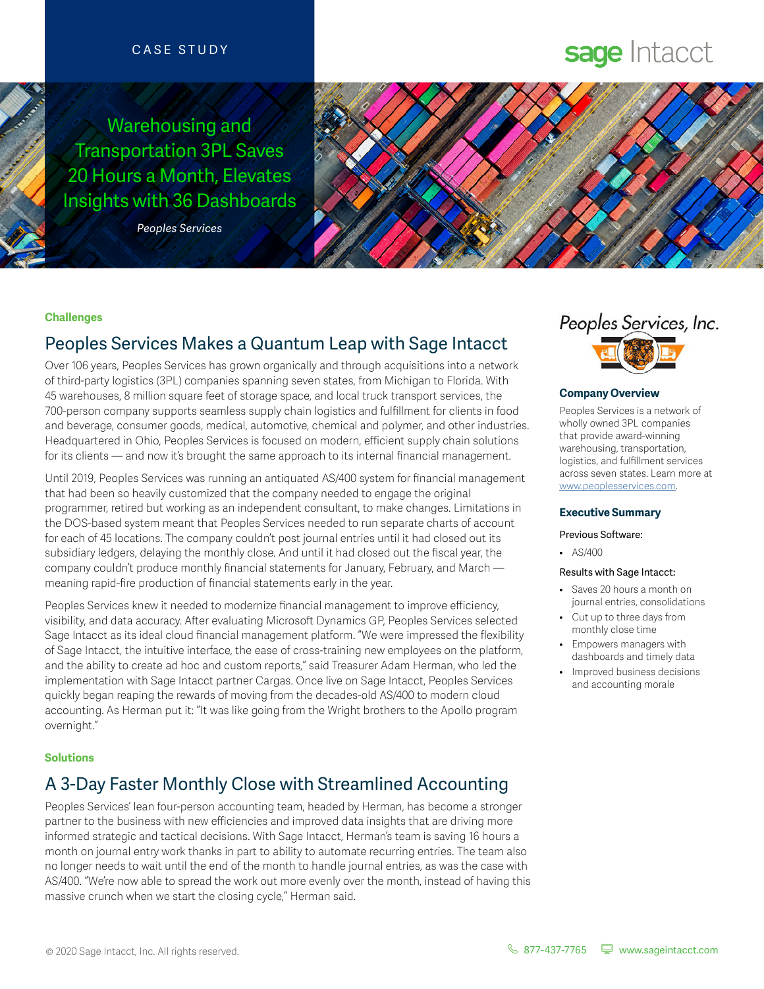### CASE STUDY

Warehousing and Transportation 3PL Saves 20 Hours a Month, Elevates Insights with 36 Dashboards

*Peoples Services*

# sage Intacct



#### **Challenges**

# Peoples Services Makes a Quantum Leap with Sage Intacct

Over 106 years, Peoples Services has grown organically and through acquisitions into a network of third-party logistics (3PL) companies spanning seven states, from Michigan to Florida. With 45 warehouses, 8 million square feet of storage space, and local truck transport services, the 700-person company supports seamless supply chain logistics and fulfillment for clients in food and beverage, consumer goods, medical, automotive, chemical and polymer, and other industries. Headquartered in Ohio, Peoples Services is focused on modern, efficient supply chain solutions for its clients — and now it's brought the same approach to its internal financial management.

Until 2019, Peoples Services was running an antiquated AS/400 system for financial management that had been so heavily customized that the company needed to engage the original programmer, retired but working as an independent consultant, to make changes. Limitations in the DOS-based system meant that Peoples Services needed to run separate charts of account for each of 45 locations. The company couldn't post journal entries until it had closed out its subsidiary ledgers, delaying the monthly close. And until it had closed out the fiscal year, the company couldn't produce monthly financial statements for January, February, and March meaning rapid-fire production of financial statements early in the year.

Peoples Services knew it needed to modernize financial management to improve efficiency, visibility, and data accuracy. After evaluating Microsoft Dynamics GP, Peoples Services selected Sage Intacct as its ideal cloud financial management platform. "We were impressed the flexibility of Sage Intacct, the intuitive interface, the ease of cross-training new employees on the platform, and the ability to create ad hoc and custom reports," said Treasurer Adam Herman, who led the implementation with Sage Intacct partner Cargas. Once live on Sage Intacct, Peoples Services quickly began reaping the rewards of moving from the decades-old AS/400 to modern cloud accounting. As Herman put it: "It was like going from the Wright brothers to the Apollo program overnight."

#### **Solutions**

# A 3-Day Faster Monthly Close with Streamlined Accounting

Peoples Services' lean four-person accounting team, headed by Herman, has become a stronger partner to the business with new efficiencies and improved data insights that are driving more informed strategic and tactical decisions. With Sage Intacct, Herman's team is saving 16 hours a month on journal entry work thanks in part to ability to automate recurring entries. The team also no longer needs to wait until the end of the month to handle journal entries, as was the case with AS/400. "We're now able to spread the work out more evenly over the month, instead of having this massive crunch when we start the closing cycle," Herman said.



#### **Company Overview**

Peoples Services is a network of wholly owned 3PL companies that provide award-winning warehousing, transportation, logistics, and fulfillment services across seven states. Learn more at [www.peoplesservices.com.](www.peoplesservices.com)

#### **Executive Summary**

- Previous Software:
	- AS/400

#### Results with Sage Intacct:

- Saves 20 hours a month on journal entries, consolidations
- Cut up to three days from monthly close time
- Empowers managers with dashboards and timely data
- Improved business decisions and accounting morale